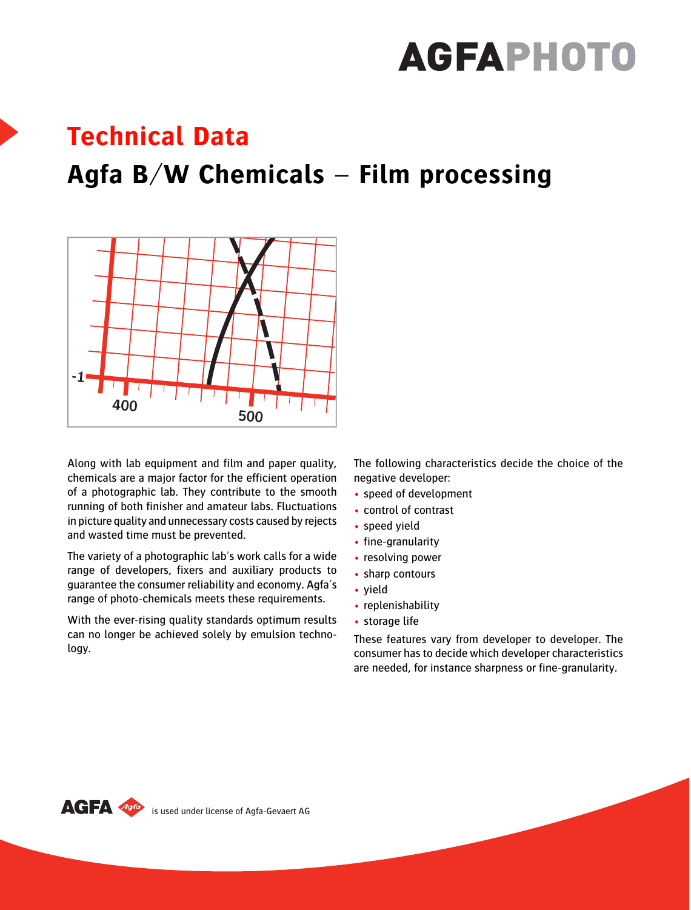# **AGFAPHOTO**

# **Technical Data**

# **Agfa B/W Chemicals – Film processing**



Along with lab equipment and film and paper quality, chemicals are a major factor for the efficient operation of a photographic lab. They contribute to the smooth running of both finisher and amateur labs. Fluctuations in picture quality and unnecessary costs caused by rejects and wasted time must be prevented.

The variety of a photographic lab's work calls for a wide range of developers, fixers and auxiliary products to guarantee the consumer reliability and economy. Agfa's range of photo-chemicals meets these requirements.

With the ever-rising quality standards optimum results can no longer be achieved solely by emulsion technology.

The following characteristics decide the choice of the negative developer:

- speed of development
- control of contrast
- speed yield
- fine-granularity
- resolving power
- sharp contours
- yield
- replenishability
- storage life

These features vary from developer to developer. The consumer has to decide which developer characteristics are needed, for instance sharpness or fine-granularity.

AGFA 496 is used under license of Agfa-Gevaert AG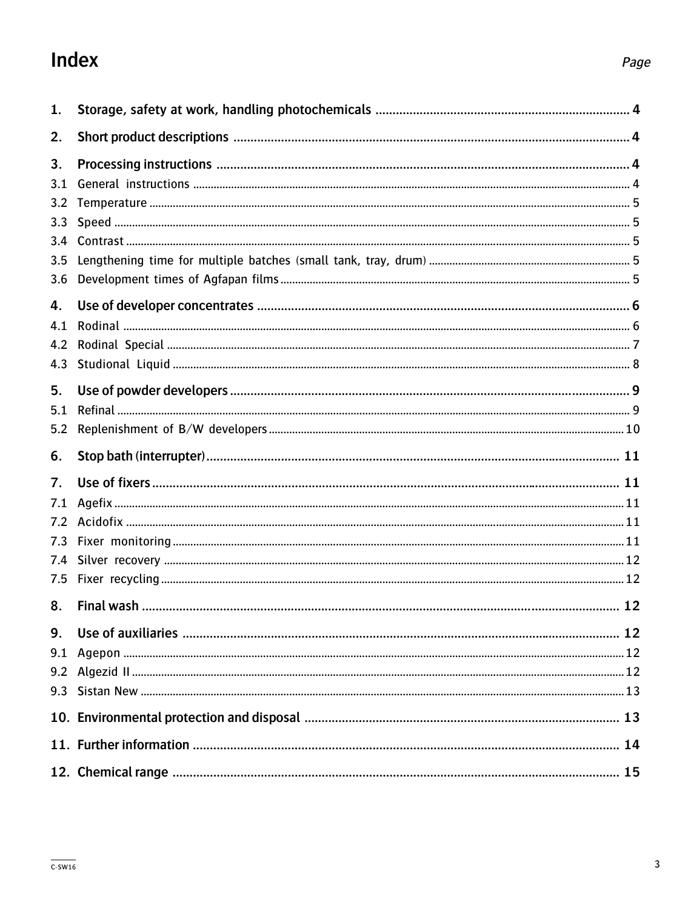# Index

| 1.                                           |  |
|----------------------------------------------|--|
| 2.                                           |  |
| 3.<br>3.1<br>3.2<br>3.3<br>3.4<br>3.5<br>3.6 |  |
| 4.<br>4.1<br>4.2<br>4.3                      |  |
| 5.<br>5.1<br>5.2                             |  |
| 6.                                           |  |
| 7.<br>7.1<br>7.2<br>7.3<br>7.4<br>7.5        |  |
| 8.                                           |  |
| 9.<br>9.1                                    |  |
|                                              |  |
|                                              |  |
|                                              |  |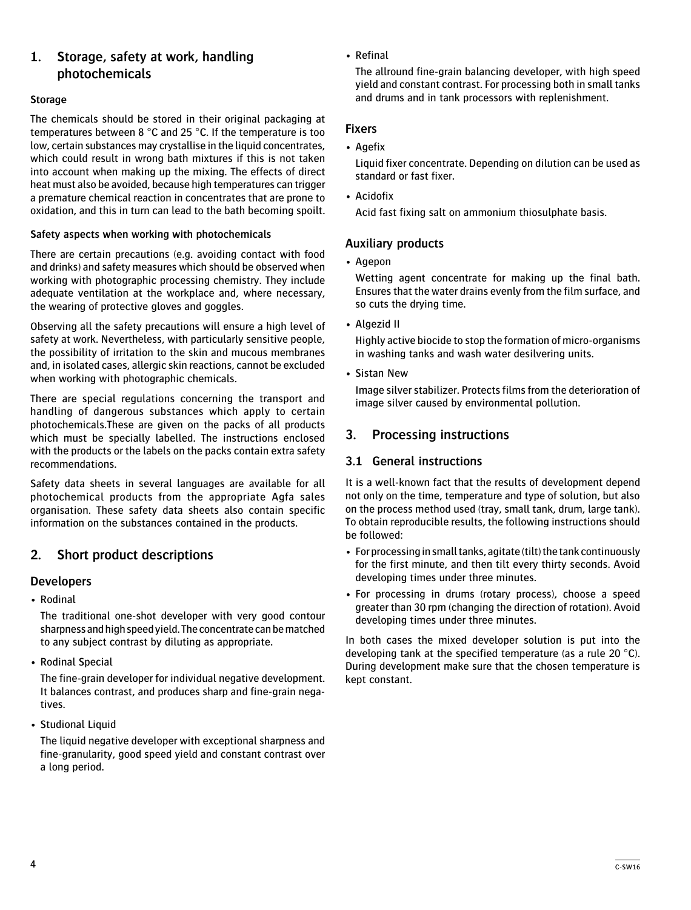# <span id="page-3-0"></span>**1. Storage, safety at work, handling photochemicals**

#### **Storage**

The chemicals should be stored in their original packaging at temperatures between 8 °C and 25 °C. If the temperature is too low, certain substances may crystallise in the liquid concentrates, which could result in wrong bath mixtures if this is not taken into account when making up the mixing. The effects of direct heat must also be avoided, because high temperatures can trigger a premature chemical reaction in concentrates that are prone to oxidation, and this in turn can lead to the bath becoming spoilt.

#### **Safety aspects when working with photochemicals**

There are certain precautions (e.g. avoiding contact with food and drinks) and safety measures which should be observed when working with photographic processing chemistry. They include adequate ventilation at the workplace and, where necessary, the wearing of protective gloves and goggles.

Observing all the safety precautions will ensure a high level of safety at work. Nevertheless, with particularly sensitive people, the possibility of irritation to the skin and mucous membranes and, in isolated cases, allergic skin reactions, cannot be excluded when working with photographic chemicals.

There are special regulations concerning the transport and handling of dangerous substances which apply to certain photochemicals.These are given on the packs of all products which must be specially labelled. The instructions enclosed with the products or the labels on the packs contain extra safety recommendations.

Safety data sheets in several languages are available for all photochemical products from the appropriate Agfa sales organisation. These safety data sheets also contain specific information on the substances contained in the products.

# **2. Short product descriptions**

### **Developers**

• Rodinal

The traditional one-shot developer with very good contour sharpness and high speed yield. The concentrate can be matched to any subject contrast by diluting as appropriate.

• Rodinal Special

The fine-grain developer for individual negative development. It balances contrast, and produces sharp and fine-grain negatives.

• Studional Liquid

The liquid negative developer with exceptional sharpness and fine-granularity, good speed yield and constant contrast over a long period.

• Refinal

The allround fine-grain balancing developer, with high speed yield and constant contrast. For processing both in small tanks and drums and in tank processors with replenishment.

# **Fixers**

• Agefix

Liquid fixer concentrate. Depending on dilution can be used as standard or fast fixer.

• Acidofix

Acid fast fixing salt on ammonium thiosulphate basis.

### **Auxiliary products**

• Agepon

Wetting agent concentrate for making up the final bath. Ensures that the water drains evenly from the film surface, and so cuts the drying time.

• Algezid II

Highly active biocide to stop the formation of micro-organisms in washing tanks and wash water desilvering units.

• Sistan New

Image silver stabilizer. Protects films from the deterioration of image silver caused by environmental pollution.

# **3. Processing instructions**

# **3.1 General instructions**

It is a well-known fact that the results of development depend not only on the time, temperature and type of solution, but also on the process method used (tray, small tank, drum, large tank). To obtain reproducible results, the following instructions should be followed:

- For processing in small tanks, agitate (tilt) the tank continuously for the first minute, and then tilt every thirty seconds. Avoid developing times under three minutes.
- For processing in drums (rotary process), choose a speed greater than 30 rpm (changing the direction of rotation). Avoid developing times under three minutes.

In both cases the mixed developer solution is put into the developing tank at the specified temperature (as a rule 20 °C). During development make sure that the chosen temperature is kept constant.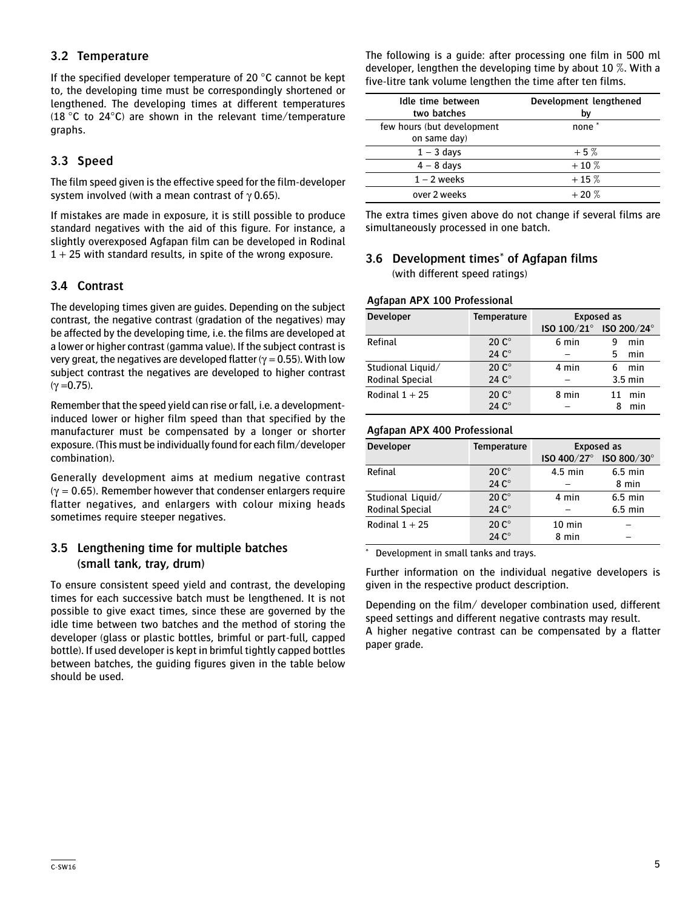# <span id="page-4-0"></span>**3.2 Temperature**

If the specified developer temperature of 20 °C cannot be kept to, the developing time must be correspondingly shortened or lengthened. The developing times at different temperatures (18 °C to 24°C) are shown in the relevant time/temperature graphs.

# **3.3 Speed**

The film speed given is the effective speed for the film-developer system involved (with a mean contrast of  $\gamma$  0.65).

If mistakes are made in exposure, it is still possible to produce standard negatives with the aid of this figure. For instance, a slightly overexposed Agfapan film can be developed in Rodinal  $1 + 25$  with standard results, in spite of the wrong exposure.

# **3.4 Contrast**

The developing times given are guides. Depending on the subject contrast, the negative contrast (gradation of the negatives) may be affected by the developing time, i.e. the films are developed at a lower or higher contrast (gamma value). If the subject contrast is very great, the negatives are developed flatter ( $\gamma$  = 0.55). With low subject contrast the negatives are developed to higher contrast  $(γ = 0.75)$ .

Remember that the speed yield can rise or fall, i.e. a developmentinduced lower or higher film speed than that specified by the manufacturer must be compensated by a longer or shorter exposure. (This must be individually found for each film/developer combination).

Generally development aims at medium negative contrast  $(y = 0.65)$ . Remember however that condenser enlargers require flatter negatives, and enlargers with colour mixing heads sometimes require steeper negatives.

# **3.5 Lengthening time for multiple batches (small tank, tray, drum)**

To ensure consistent speed yield and contrast, the developing times for each successive batch must be lengthened. It is not possible to give exact times, since these are governed by the idle time between two batches and the method of storing the developer (glass or plastic bottles, brimful or part-full, capped bottle). If used developer is kept in brimful tightly capped bottles between batches, the guiding figures given in the table below should be used.

The following is a guide: after processing one film in 500 ml developer, lengthen the developing time by about 10 %. With a five-litre tank volume lengthen the time after ten films.

| Idle time between<br>two batches           | Development lengthened<br>by |
|--------------------------------------------|------------------------------|
| few hours (but development<br>on same day) | none <sup>*</sup>            |
| $1 - 3$ days                               | $+5%$                        |
| $4 - 8$ days                               | $+10%$                       |
| $1 - 2$ weeks                              | $+15%$                       |
| over 2 weeks                               | $+20%$                       |

The extra times given above do not change if several films are simultaneously processed in one batch.

# **3.6 Development times\* of Agfapan films** (with different speed ratings)

#### **Agfapan APX 100 Professional**

| <b>Developer</b>  | <b>Temperature</b> | Exposed as |                         |
|-------------------|--------------------|------------|-------------------------|
|                   |                    |            | ISO 100/21° ISO 200/24° |
| Refinal           | $20 C^{\circ}$     | 6 min      | min<br>9                |
|                   | 24 C°              |            | min<br>5                |
| Studional Liquid/ | $20 C^{\circ}$     | 4 min      | min                     |
| Rodinal Special   | 24 C°              |            | $3.5 \text{ min}$       |
| Rodinal $1 + 25$  | $20 C^{\circ}$     | 8 min      | min                     |
|                   | 24 C°              |            | min<br>8                |

#### **Agfapan APX 400 Professional**

| <b>Developer</b>       | <b>Temperature</b> | Exposed as       |                         |
|------------------------|--------------------|------------------|-------------------------|
|                        |                    |                  | ISO 400/27° ISO 800/30° |
| Refinal                | $20C^{\circ}$      | $4.5$ min        | $6.5$ min               |
|                        | $24C^{\circ}$      |                  | 8 min                   |
| Studional Liquid/      | $20C^{\circ}$      | 4 min            | $6.5$ min               |
| <b>Rodinal Special</b> | 24 $C^{\circ}$     |                  | $6.5$ min               |
| Rodinal $1 + 25$       | $20 C^{\circ}$     | $10 \text{ min}$ |                         |
|                        | $24C^{\circ}$      | 8 min            |                         |

\* Development in small tanks and trays.

Further information on the individual negative developers is given in the respective product description.

Depending on the film/ developer combination used, different speed settings and different negative contrasts may result. A higher negative contrast can be compensated by a flatter paper grade.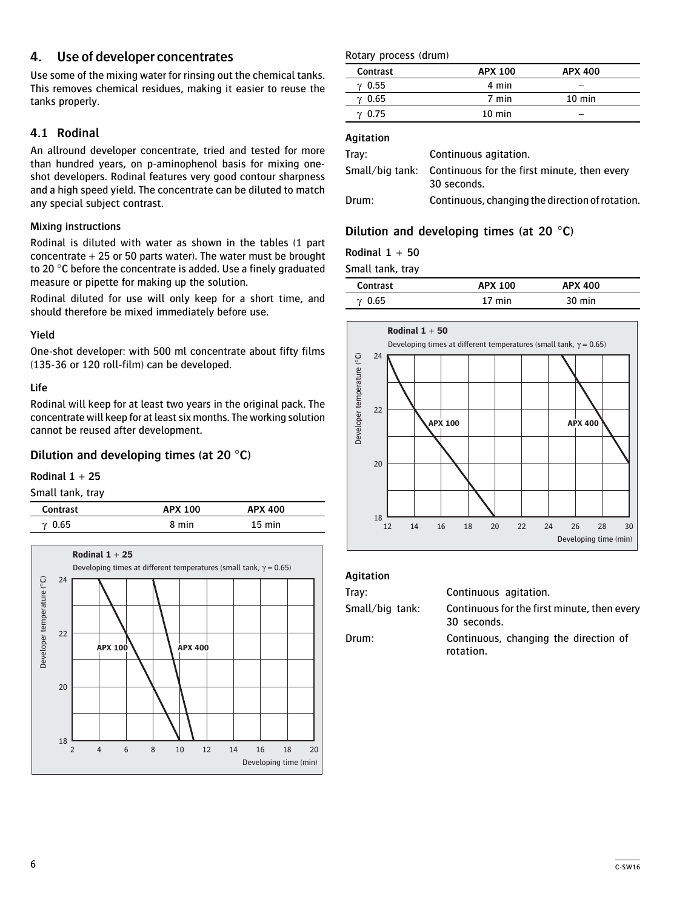# <span id="page-5-0"></span>**4. Use of developer concentrates**

Use some of the mixing water for rinsing out the chemical tanks. This removes chemical residues, making it easier to reuse the tanks properly.

# **4.1 Rodinal**

An allround developer concentrate, tried and tested for more than hundred years, on p-aminophenol basis for mixing oneshot developers. Rodinal features very good contour sharpness and a high speed yield. The concentrate can be diluted to match any special subject contrast.

#### **Mixing instructions**

Rodinal is diluted with water as shown in the tables (1 part concentrate  $+25$  or 50 parts water). The water must be brought to 20 °C before the concentrate is added. Use a finely graduated measure or pipette for making up the solution.

Rodinal diluted for use will only keep for a short time, and should therefore be mixed immediately before use.

### **Yield**

One-shot developer: with 500 ml concentrate about fifty films (135-36 or 120 roll-film) can be developed.

#### **Life**

Rodinal will keep for at least two years in the original pack. The concentrate will keep for at least six months. The working solution cannot be reused after development.

# **Dilution and developing times (at 20 °C)**

### **Rodinal 1 + 25**

#### Small tank, tray

| Contrast      | <b>APX 100</b> | <b>APX 400</b> |  |
|---------------|----------------|----------------|--|
| $\gamma$ 0.65 | 8 min          | 15 min         |  |



Rotary process (drum)

| Contrast      | <b>APX 100</b> | <b>APX 400</b> |
|---------------|----------------|----------------|
| 0.55          | 4 min          |                |
| $\gamma$ 0.65 | 7 min          | $10$ min       |
| 0.75          | $10$ min       |                |

#### **Agitation**

| Trav:           | Continuous agitation.                                      |
|-----------------|------------------------------------------------------------|
| Small/big tank: | Continuous for the first minute, then every<br>30 seconds. |
| Drum:           | Continuous, changing the direction of rotation.            |

### **Dilution and developing times (at 20 °C)**

**Rodinal 1 + 50**

Small tank, tray

| Contrast | <b>APX 100</b> | <b>APX 400</b> |  |
|----------|----------------|----------------|--|
|          | min            | min            |  |



#### **Agitation**

| Trav:           | Continuous agitation.                                      |
|-----------------|------------------------------------------------------------|
| Small/big tank: | Continuous for the first minute, then every<br>30 seconds. |
| Drum:           | Continuous, changing the direction of<br>rotation.         |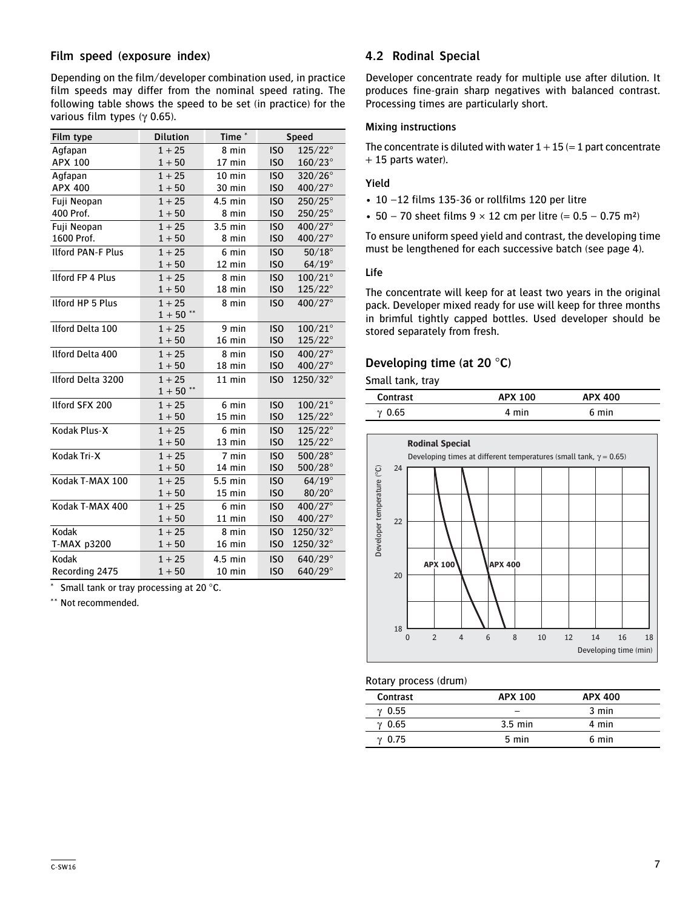### <span id="page-6-0"></span>**Film speed (exposure index)**

Depending on the film/developer combination used, in practice film speeds may differ from the nominal speed rating. The following table shows the speed to be set (in practice) for the various film types (γ 0.65).

| Film type                | <b>Dilution</b> | Time <sup>*</sup> |                 | Speed            |
|--------------------------|-----------------|-------------------|-----------------|------------------|
| Agfapan                  | $1 + 25$        | 8 min             | <b>ISO</b>      | $125/22^{\circ}$ |
| APX 100                  | $1 + 50$        | 17 min            | IS <sub>0</sub> | $160/23^\circ$   |
| Agfapan                  | $1 + 25$        | $10$ min          | <b>ISO</b>      | 320/26°          |
| APX 400                  | $1 + 50$        | 30 min            | IS <sub>O</sub> | 400/27°          |
| Fuji Neopan              | $1 + 25$        | $4.5$ min         | IS <sub>O</sub> | 250/25°          |
| 400 Prof.                | $1 + 50$        | 8 min             | IS <sub>O</sub> | 250/25°          |
| Fuji Neopan              | $1 + 25$        | 3.5 min           | IS <sub>0</sub> | 400/27°          |
| 1600 Prof.               | $1 + 50$        | 8 min             | IS <sub>0</sub> | 400/27°          |
| <b>Ilford PAN-F Plus</b> | $1 + 25$        | 6 min             | ISO             | $50/18^\circ$    |
|                          | $1 + 50$        | $12$ min          | IS <sub>0</sub> | $64/19^\circ$    |
| <b>Ilford FP 4 Plus</b>  | $1 + 25$        | 8 min             | IS <sub>O</sub> | $100/21^\circ$   |
|                          | $1 + 50$        | 18 min            | ISO             | $125/22^{\circ}$ |
| Ilford HP 5 Plus         | $1 + 25$        | 8 min             | IS <sub>O</sub> | 400/27°          |
|                          | $1 + 50$ **     |                   |                 |                  |
| <b>Ilford Delta 100</b>  | $1 + 25$        | 9 min             | IS <sub>0</sub> | $100/21^\circ$   |
|                          | $1 + 50$        | $16$ min          | IS <sub>0</sub> | $125/22^{\circ}$ |
| Ilford Delta 400         | $1 + 25$        | 8 min             | IS <sub>0</sub> | 400/27°          |
|                          | $1 + 50$        | $18$ min          | IS <sub>0</sub> | 400/27°          |
| Ilford Delta 3200        | $1 + 25$        | $11$ min          | <b>ISO</b>      | 1250/32°         |
|                          | $1 + 50$ **     |                   |                 |                  |
| Ilford SFX 200           | $1 + 25$        | 6 min             | ISO             | $100/21^\circ$   |
|                          | $1 + 50$        | $15$ min          | IS <sub>O</sub> | $125/22^{\circ}$ |
| Kodak Plus-X             | $1 + 25$        | 6 min             | IS <sub>0</sub> | 125/22°          |
|                          | $1 + 50$        | $13$ min          | IS <sub>0</sub> | $125/22^{\circ}$ |
| Kodak Tri-X              | $1 + 25$        | 7 min             | IS <sub>0</sub> | 500/28°          |
|                          | $1 + 50$        | $14$ min          | ISO             | 500/28°          |
| Kodak T-MAX 100          | $1 + 25$        | $5.5$ min         | IS <sub>O</sub> | $64/19^\circ$    |
|                          | $1 + 50$        | 15 min            | <b>ISO</b>      | $80/20^\circ$    |
| Kodak T-MAX 400          | $1 + 25$        | 6 min             | <b>ISO</b>      | 400/27°          |
|                          | $1 + 50$        | 11 min            | IS <sub>0</sub> | 400/27°          |
| Kodak                    | $1 + 25$        | 8 min             | <b>ISO</b>      | 1250/32°         |
| T-MAX p3200              | $1 + 50$        | $16$ min          | IS <sub>0</sub> | 1250/32°         |
| Kodak                    | $1 + 25$        | $4.5$ min         | ISO             | 640/29°          |
| Recording 2475           | $1 + 50$        | $10$ min          | <b>ISO</b>      | 640/29°          |

\* Small tank or tray processing at 20 °C.

\*\* Not recommended.

# **4.2 Rodinal Special**

Developer concentrate ready for multiple use after dilution. It produces fine-grain sharp negatives with balanced contrast. Processing times are particularly short.

#### **Mixing instructions**

The concentrate is diluted with water  $1 + 15 (= 1$  part concentrate  $+ 15$  parts water).

#### **Yield**

- 10 –12 films 135-36 or rollfilms 120 per litre
- 50 70 sheet films  $9 \times 12$  cm per litre (= 0.5 0.75 m<sup>2</sup>)

To ensure uniform speed yield and contrast, the developing time must be lengthened for each successive batch (see page 4).

#### **Life**

The concentrate will keep for at least two years in the original pack. Developer mixed ready for use will keep for three months in brimful tightly capped bottles. Used developer should be stored separately from fresh.

### **Developing time (at 20 °C)**

Small tank, tray

| Contrast         | <b>APX 100</b> | <b>APX 400</b> |  |
|------------------|----------------|----------------|--|
| 0.65<br>$\gamma$ | min            | min            |  |



#### Rotary process (drum)

| Contrast      | <b>APX 100</b>    | <b>APX 400</b> |  |
|---------------|-------------------|----------------|--|
| $\gamma$ 0.55 |                   | 3 min          |  |
| $\gamma$ 0.65 | $3.5 \text{ min}$ | 4 min          |  |
| $\gamma$ 0.75 | 5 min             | 6 min          |  |
|               |                   |                |  |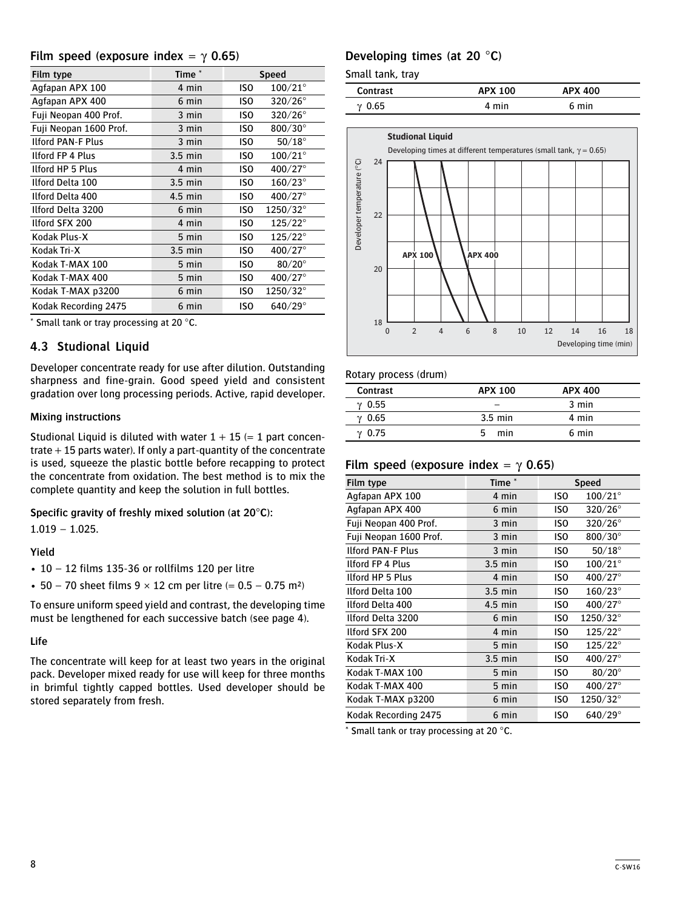# <span id="page-7-0"></span>**Film speed (exposure index =**  $\gamma$  **0.65)**

| Film type                | Time <sup>*</sup> |     | Speed             |
|--------------------------|-------------------|-----|-------------------|
| Agfapan APX 100          | 4 min             | ISO | $100/21^{\circ}$  |
| Agfapan APX 400          | 6 min             | ISO | $320/26^{\circ}$  |
| Fuji Neopan 400 Prof.    | 3 min             | ISO | 320/26°           |
| Fuji Neopan 1600 Prof.   | 3 min             | ISO | $800/30^\circ$    |
| <b>Ilford PAN-F Plus</b> | 3 min             | ISO | $50/18^\circ$     |
| <b>Ilford FP 4 Plus</b>  | $3.5 \text{ min}$ | ISO | $100/21^\circ$    |
| <b>Ilford HP 5 Plus</b>  | 4 min             | ISO | 400/27°           |
| <b>Ilford Delta 100</b>  | $3.5$ min         | ISO | $160/23^\circ$    |
| Ilford Delta 400         | $4.5$ min         | ISO | 400/27°           |
| Ilford Delta 3200        | 6 min             | ISO | $1250/32^{\circ}$ |
| <b>Ilford SFX 200</b>    | 4 min             | ISO | $125/22^{\circ}$  |
| Kodak Plus-X             | 5 min             | ISO | $125/22^{\circ}$  |
| Kodak Tri-X              | $3.5$ min         | ISO | $400/27^{\circ}$  |
| Kodak T-MAX 100          | 5 min             | ISO | $80/20^\circ$     |
| Kodak T-MAX 400          | 5 min             | ISO | 400/27°           |
| Kodak T-MAX p3200        | 6 min             | ISO | 1250/32°          |
| Kodak Recording 2475     | 6 min             | ISO | $640/29^\circ$    |

\* Small tank or tray processing at 20 °C.

### **4.3 Studional Liquid**

Developer concentrate ready for use after dilution. Outstanding sharpness and fine-grain. Good speed yield and consistent gradation over long processing periods. Active, rapid developer.

#### **Mixing instructions**

Studional Liquid is diluted with water  $1 + 15$  (= 1 part concentrate + 15 parts water). If only a part-quantity of the concentrate is used, squeeze the plastic bottle before recapping to protect the concentrate from oxidation. The best method is to mix the complete quantity and keep the solution in full bottles.

**Specific gravity of freshly mixed solution (at 20°C):**

# $1.019 - 1.025$

#### **Yield**

- $\cdot$  10 12 films 135-36 or rollfilms 120 per litre
- 50 70 sheet films  $9 \times 12$  cm per litre (= 0.5 0.75 m<sup>2</sup>)

To ensure uniform speed yield and contrast, the developing time must be lengthened for each successive batch (see page 4).

#### **Life**

The concentrate will keep for at least two years in the original pack. Developer mixed ready for use will keep for three months in brimful tightly capped bottles. Used developer should be stored separately from fresh.

# **Developing times (at 20 °C)**

Small tank, tray

| Contrast         | <b>APX 100</b> | <b>APX 400</b> |  |
|------------------|----------------|----------------|--|
| 0.65<br>$\gamma$ | min            | min            |  |



#### Rotary process (drum)

| Contrast      | <b>APX 100</b> | <b>APX 400</b> |
|---------------|----------------|----------------|
| $\gamma$ 0.55 |                | 3 min          |
| $\gamma$ 0.65 | $3.5$ min      | 4 min          |
| $\gamma$ 0.75 | min<br>'n      | 6 min          |

### **Film speed (exposure index =**  $\gamma$  **0.65)**

| Film type                | Time $*$  |     | <b>Speed</b>      |
|--------------------------|-----------|-----|-------------------|
| Agfapan APX 100          | 4 min     | ISO | $100/21^{\circ}$  |
| Agfapan APX 400          | 6 min     | ISO | 320/26°           |
| Fuji Neopan 400 Prof.    | 3 min     | ISO | $320/26^\circ$    |
| Fuji Neopan 1600 Prof.   | 3 min     | ISO | $800/30^\circ$    |
| <b>Ilford PAN-F Plus</b> | 3 min     | ISO | $50/18^\circ$     |
| <b>Ilford FP 4 Plus</b>  | $3.5$ min | ISO | $100/21^{\circ}$  |
| <b>Ilford HP 5 Plus</b>  | 4 min     | ISO | 400/27°           |
| <b>Ilford Delta 100</b>  | $3.5$ min | ISO | $160/23^\circ$    |
| Ilford Delta 400         | $4.5$ min | ISO | 400/27°           |
| Ilford Delta 3200        | 6 min     | ISO | 1250/32°          |
| Ilford SFX 200           | 4 min     | ISO | $125/22^{\circ}$  |
| Kodak Plus-X             | 5 min     | ISO | $125/22^{\circ}$  |
| Kodak Tri-X              | $3.5$ min | ISO | 400/27°           |
| Kodak T-MAX 100          | 5 min     | ISO | $80/20^\circ$     |
| Kodak T-MAX 400          | 5 min     | ISO | 400/27°           |
| Kodak T-MAX p3200        | 6 min     | ISO | 1250/32°          |
| Kodak Recording 2475     | 6 min     | ISO | 640/29 $^{\circ}$ |

 $*$  Small tank or tray processing at 20  $^{\circ}$ C.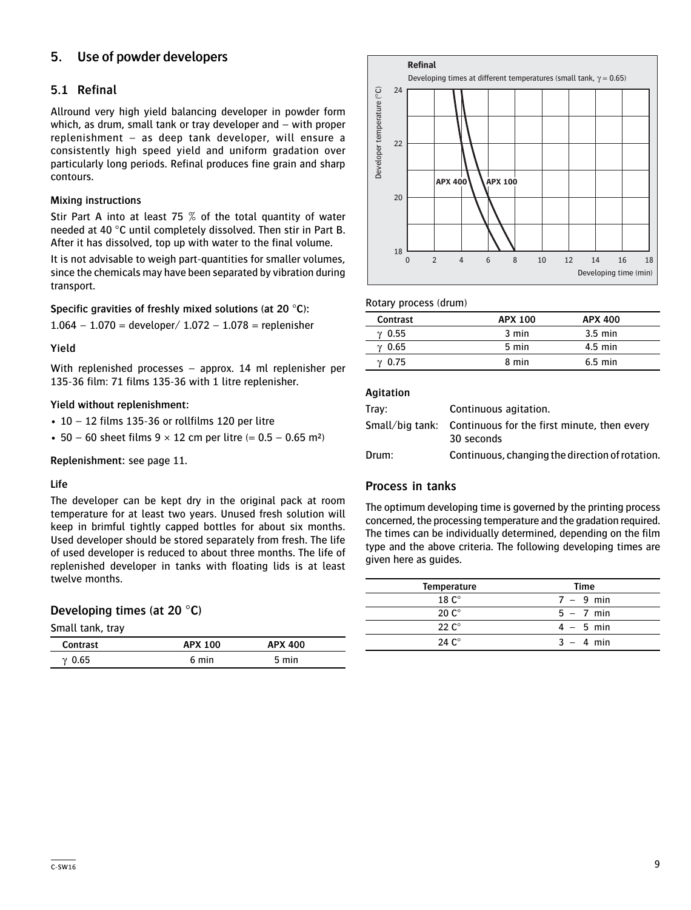# <span id="page-8-0"></span>**5. Use of powder developers**

# **5.1 Refinal**

Allround very high yield balancing developer in powder form which, as drum, small tank or tray developer and – with proper replenishment – as deep tank developer, will ensure a consistently high speed yield and uniform gradation over particularly long periods. Refinal produces fine grain and sharp contours.

#### **Mixing instructions**

Stir Part A into at least 75 % of the total quantity of water needed at 40 °C until completely dissolved. Then stir in Part B. After it has dissolved, top up with water to the final volume.

It is not advisable to weigh part-quantities for smaller volumes, since the chemicals may have been separated by vibration during transport.

#### **Specific gravities of freshly mixed solutions (at 20 °C):**

 $1.064 - 1.070 =$  developer /  $1.072 - 1.078 =$  replenisher

#### **Yield**

With replenished processes – approx. 14 ml replenisher per 135-36 film: 71 films 135-36 with 1 litre replenisher.

#### **Yield without replenishment:**

- 10 12 films 135-36 or rollfilms 120 per litre
- 50 60 sheet films  $9 \times 12$  cm per litre (= 0.5 0.65 m<sup>2</sup>)

**Replenishment:** see page 11.

#### **Life**

The developer can be kept dry in the original pack at room temperature for at least two years. Unused fresh solution will keep in brimful tightly capped bottles for about six months. Used developer should be stored separately from fresh. The life of used developer is reduced to about three months. The life of replenished developer in tanks with floating lids is at least twelve months.

### **Developing times (at 20 °C)**

Small tank, tray

| Contrast         | <b>APX 100</b> | <b>APX 400</b> |  |
|------------------|----------------|----------------|--|
| 0.65<br>$\gamma$ |                | min            |  |



#### Rotary process (drum)

| <b>Contrast</b> | <b>APX 100</b> | <b>APX 400</b>    |
|-----------------|----------------|-------------------|
| $\gamma$ 0.55   | 3 min          | $3.5 \text{ min}$ |
| $\gamma$ 0.65   | 5 min          | $4.5$ min         |
| 0.75            | 8 min          | $6.5$ min         |

#### **Agitation**

| Tray: | Continuous agitation.                                                     |
|-------|---------------------------------------------------------------------------|
|       | Small/big tank: Continuous for the first minute, then every<br>30 seconds |
| Drum: | Continuous, changing the direction of rotation.                           |

#### **Process in tanks**

The optimum developing time is governed by the printing process concerned, the processing temperature and the gradation required. The times can be individually determined, depending on the film type and the above criteria. The following developing times are given here as guides.

| Temperature    | Time        |
|----------------|-------------|
| 18 $C^{\circ}$ | $7 - 9$ min |
| $20 C^\circ$   | $5 - 7$ min |
| 22 $C^\circ$   | $4 - 5$ min |
| 24 $C^{\circ}$ | $3 - 4$ min |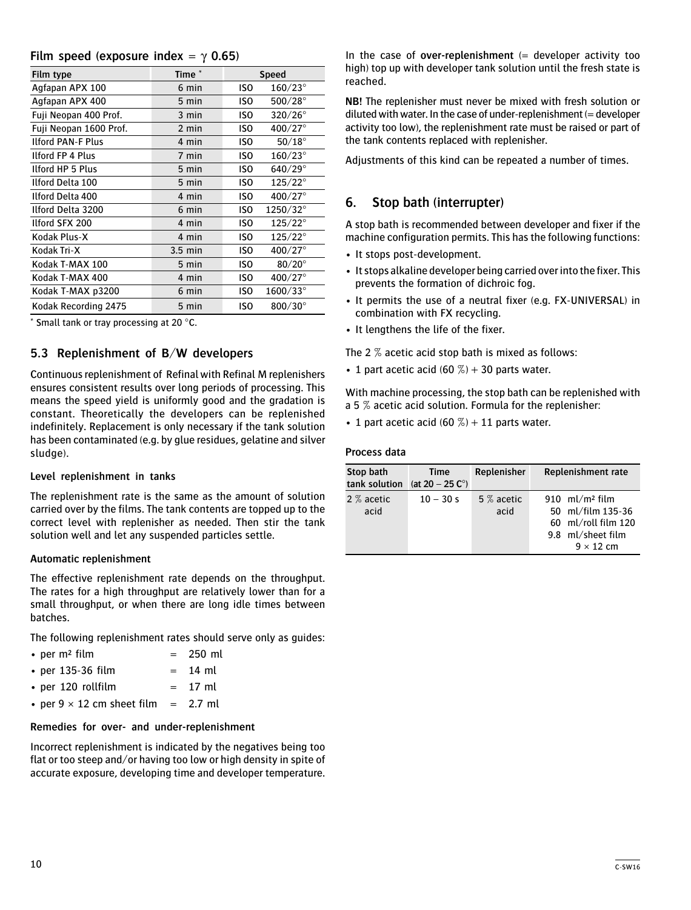# <span id="page-9-0"></span>**Film speed (exposure index =** γ **0.65)**

| Film type                | Time <sup>*</sup> |     | <b>Speed</b>     |
|--------------------------|-------------------|-----|------------------|
| Agfapan APX 100          | 6 min             | ISO | $160/23^\circ$   |
| Agfapan APX 400          | 5 min             | ISO | $500/28^{\circ}$ |
| Fuji Neopan 400 Prof.    | 3 min             | ISO | $320/26^{\circ}$ |
| Fuji Neopan 1600 Prof.   | 2 min             | ISO | $400/27^{\circ}$ |
| <b>Ilford PAN-F Plus</b> | 4 min             | ISO | $50/18^\circ$    |
| <b>Ilford FP 4 Plus</b>  | 7 min             | ISO | $160/23^\circ$   |
| <b>Ilford HP 5 Plus</b>  | 5 min             | ISO | $640/29^\circ$   |
| Ilford Delta 100         | 5 min             | ISO | $125/22^{\circ}$ |
| Ilford Delta 400         | 4 min             | ISO | 400/27°          |
| Ilford Delta 3200        | 6 min             | ISO | 1250/32°         |
| Ilford SFX 200           | 4 min             | ISO | $125/22^{\circ}$ |
| Kodak Plus-X             | 4 min             | ISO | 125/22°          |
| Kodak Tri-X              | $3.5 \text{ min}$ | ISO | 400/27°          |
| Kodak T-MAX 100          | 5 min             | ISO | $80/20^\circ$    |
| Kodak T-MAX 400          | 4 min             | ISO | 400/27°          |
| Kodak T-MAX p3200        | 6 min             | ISO | 1600/33°         |
| Kodak Recording 2475     | 5 min             | ISO | $800/30^\circ$   |

\* Small tank or tray processing at 20 °C.

# **5.3 Replenishment of B/W developers**

Continuous replenishment of Refinal with Refinal M replenishers ensures consistent results over long periods of processing. This means the speed yield is uniformly good and the gradation is constant. Theoretically the developers can be replenished indefinitely. Replacement is only necessary if the tank solution has been contaminated (e.g. by glue residues, gelatine and silver sludge).

#### **Level replenishment in tanks**

The replenishment rate is the same as the amount of solution carried over by the films. The tank contents are topped up to the correct level with replenisher as needed. Then stir the tank solution well and let any suspended particles settle.

#### **Automatic replenishment**

The effective replenishment rate depends on the throughput. The rates for a high throughput are relatively lower than for a small throughput, or when there are long idle times between batches.

The following replenishment rates should serve only as guides:

| • per $m2$ film                            | $= 250$ ml |
|--------------------------------------------|------------|
| • per 135-36 film                          | $=$ 14 ml  |
| • per 120 rollfilm                         | $= 17$ ml  |
| • per $9 \times 12$ cm sheet film = 2.7 ml |            |

#### **Remedies for over- and under-replenishment**

Incorrect replenishment is indicated by the negatives being too flat or too steep and/or having too low or high density in spite of accurate exposure, developing time and developer temperature.

In the case of **over-replenishment** (= developer activity too high) top up with developer tank solution until the fresh state is reached.

**NB!** The replenisher must never be mixed with fresh solution or diluted with water. In the case of under-replenishment  $(=$  developer activity too low), the replenishment rate must be raised or part of the tank contents replaced with replenisher.

Adjustments of this kind can be repeated a number of times.

# **6. Stop bath (interrupter)**

A stop bath is recommended between developer and fixer if the machine configuration permits. This has the following functions:

- It stops post-development.
- It stops alkaline developer being carried over into the fixer. This prevents the formation of dichroic fog.
- It permits the use of a neutral fixer (e.g. FX-UNIVERSAL) in combination with FX recycling.
- It lengthens the life of the fixer.

The 2 % acetic acid stop bath is mixed as follows:

• 1 part acetic acid (60  $\%$ ) + 30 parts water.

With machine processing, the stop bath can be replenished with a 5 % acetic acid solution. Formula for the replenisher:

• 1 part acetic acid (60  $\%$ ) + 11 parts water.

#### **Process data**

| Stop bath<br>tank solution | <b>Time</b><br>(at $20 - 25 C^{\circ}$ ) | Replenisher        | Replenishment rate                                                                                              |
|----------------------------|------------------------------------------|--------------------|-----------------------------------------------------------------------------------------------------------------|
| 2 % acetic<br>acid         | $10 - 30s$                               | 5 % acetic<br>acid | 910 $\frac{m}{m^2}$ film<br>50 ml/film 135-36<br>$60$ ml/roll film 120<br>9.8 ml/sheet film<br>$9 \times 12$ cm |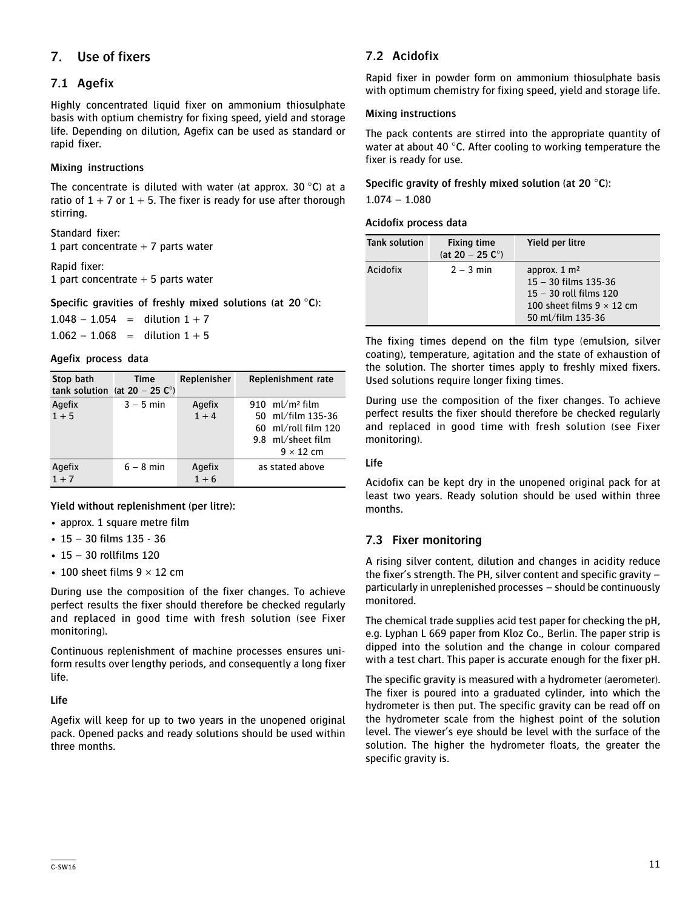# <span id="page-10-0"></span>**7. Use of fixers**

# **7.1 Agefix**

Highly concentrated liquid fixer on ammonium thiosulphate basis with optium chemistry for fixing speed, yield and storage life. Depending on dilution, Agefix can be used as standard or rapid fixer.

### **Mixing instructions**

The concentrate is diluted with water (at approx. 30  $^{\circ}$ C) at a ratio of  $1 + 7$  or  $1 + 5$ . The fixer is ready for use after thorough stirring.

Standard fixer: 1 part concentrate  $+ 7$  parts water

Rapid fixer: 1 part concentrate  $+5$  parts water

**Specific gravities of freshly mixed solutions (at 20 °C):**

 $1.048 - 1.054 =$  dilution  $1 + 7$  $1.062 - 1.068 =$  dilution  $1 + 5$ 

#### **Agefix process data**

| Stop bath         | Time<br>tank solution (at $20 - 25$ C°) | Replenisher       | Replenishment rate                                                                                     |
|-------------------|-----------------------------------------|-------------------|--------------------------------------------------------------------------------------------------------|
| Agefix<br>$1 + 5$ | $3 - 5$ min                             | Agefix<br>$1 + 4$ | 910 $ml/m^2$ film<br>50 ml/film 135-36<br>60 ml/roll film 120<br>9.8 ml/sheet film<br>$9 \times 12$ cm |
| Agefix<br>$1 + 7$ | $6 - 8$ min                             | Agefix<br>$1 + 6$ | as stated above                                                                                        |

#### **Yield without replenishment (per litre):**

- approx. 1 square metre film
- 15 30 films 135 36
- 15 30 rollfilms 120
- 100 sheet films  $9 \times 12$  cm

During use the composition of the fixer changes. To achieve perfect results the fixer should therefore be checked regularly and replaced in good time with fresh solution (see Fixer monitoring).

Continuous replenishment of machine processes ensures uniform results over lengthy periods, and consequently a long fixer life.

### **Life**

Agefix will keep for up to two years in the unopened original pack. Opened packs and ready solutions should be used within three months.

# **7.2 Acidofix**

Rapid fixer in powder form on ammonium thiosulphate basis with optimum chemistry for fixing speed, yield and storage life.

#### **Mixing instructions**

The pack contents are stirred into the appropriate quantity of water at about 40 °C. After cooling to working temperature the fixer is ready for use.

**Specific gravity of freshly mixed solution (at 20 °C):** 1.074 – 1.080

#### **Acidofix process data**

| <b>Tank solution</b> | <b>Fixing time</b><br>(at $20 - 25 C^{\circ}$ ) | Yield per litre                                                                                                                          |
|----------------------|-------------------------------------------------|------------------------------------------------------------------------------------------------------------------------------------------|
| Acidofix             | $2 - 3$ min                                     | approx. $1 \text{ m}^2$<br>$15 - 30$ films 135-36<br>$15 - 30$ roll films $120$<br>100 sheet films $9 \times 12$ cm<br>50 ml/film 135-36 |

The fixing times depend on the film type (emulsion, silver coating), temperature, agitation and the state of exhaustion of the solution. The shorter times apply to freshly mixed fixers. Used solutions require longer fixing times.

During use the composition of the fixer changes. To achieve perfect results the fixer should therefore be checked regularly and replaced in good time with fresh solution (see Fixer monitoring).

### **Life**

Acidofix can be kept dry in the unopened original pack for at least two years. Ready solution should be used within three months.

# **7.3 Fixer monitoring**

A rising silver content, dilution and changes in acidity reduce the fixer's strength. The PH, silver content and specific gravity – particularly in unreplenished processes – should be continuously monitored.

The chemical trade supplies acid test paper for checking the pH, e.g. Lyphan L 669 paper from Kloz Co., Berlin. The paper strip is dipped into the solution and the change in colour compared with a test chart. This paper is accurate enough for the fixer pH.

The specific gravity is measured with a hydrometer (aerometer). The fixer is poured into a graduated cylinder, into which the hydrometer is then put. The specific gravity can be read off on the hydrometer scale from the highest point of the solution level. The viewer's eye should be level with the surface of the solution. The higher the hydrometer floats, the greater the specific gravity is.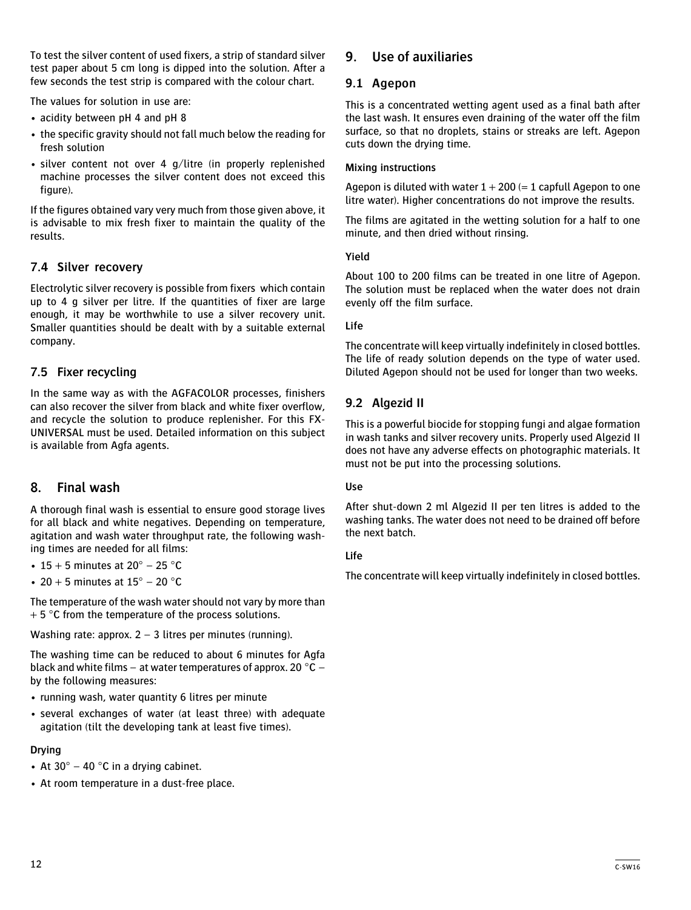<span id="page-11-0"></span>To test the silver content of used fixers, a strip of standard silver test paper about 5 cm long is dipped into the solution. After a few seconds the test strip is compared with the colour chart.

The values for solution in use are:

- acidity between pH 4 and pH 8
- the specific gravity should not fall much below the reading for fresh solution
- silver content not over 4 g/litre (in properly replenished machine processes the silver content does not exceed this figure).

If the figures obtained vary very much from those given above, it is advisable to mix fresh fixer to maintain the quality of the results.

# **7.4 Silver recovery**

Electrolytic silver recovery is possible from fixers which contain up to 4 g silver per litre. If the quantities of fixer are large enough, it may be worthwhile to use a silver recovery unit. Smaller quantities should be dealt with by a suitable external company.

# **7.5 Fixer recycling**

In the same way as with the AGFACOLOR processes, finishers can also recover the silver from black and white fixer overflow, and recycle the solution to produce replenisher. For this FX-UNIVERSAL must be used. Detailed information on this subject is available from Agfa agents.

# **8. Final wash**

A thorough final wash is essential to ensure good storage lives for all black and white negatives. Depending on temperature, agitation and wash water throughput rate, the following washing times are needed for all films:

- 15 + 5 minutes at  $20^\circ$  25 °C
- 20 + 5 minutes at  $15^{\circ}$  20  $^{\circ}$ C

The temperature of the wash water should not vary by more than  $+ 5$  °C from the temperature of the process solutions.

Washing rate: approx.  $2 - 3$  litres per minutes (running).

The washing time can be reduced to about 6 minutes for Agfa black and white films – at water temperatures of approx. 20  $^{\circ}$ C – by the following measures:

- running wash, water quantity 6 litres per minute
- several exchanges of water (at least three) with adequate agitation (tilt the developing tank at least five times).

#### **Drying**

- At 30 $\degree$  40  $\degree$ C in a drying cabinet.
- At room temperature in a dust-free place.

# **9. Use of auxiliaries**

#### **9.1 Agepon**

This is a concentrated wetting agent used as a final bath after the last wash. It ensures even draining of the water off the film surface, so that no droplets, stains or streaks are left. Agepon cuts down the drying time.

#### **Mixing instructions**

Agepon is diluted with water  $1 + 200$  (= 1 capfull Agepon to one litre water). Higher concentrations do not improve the results.

The films are agitated in the wetting solution for a half to one minute, and then dried without rinsing.

#### **Yield**

About 100 to 200 films can be treated in one litre of Agepon. The solution must be replaced when the water does not drain evenly off the film surface.

#### **Life**

The concentrate will keep virtually indefinitely in closed bottles. The life of ready solution depends on the type of water used. Diluted Agepon should not be used for longer than two weeks.

# **9.2 Algezid II**

This is a powerful biocide for stopping fungi and algae formation in wash tanks and silver recovery units. Properly used Algezid II does not have any adverse effects on photographic materials. It must not be put into the processing solutions.

#### **Use**

After shut-down 2 ml Algezid II per ten litres is added to the washing tanks. The water does not need to be drained off before the next batch.

### **Life**

The concentrate will keep virtually indefinitely in closed bottles.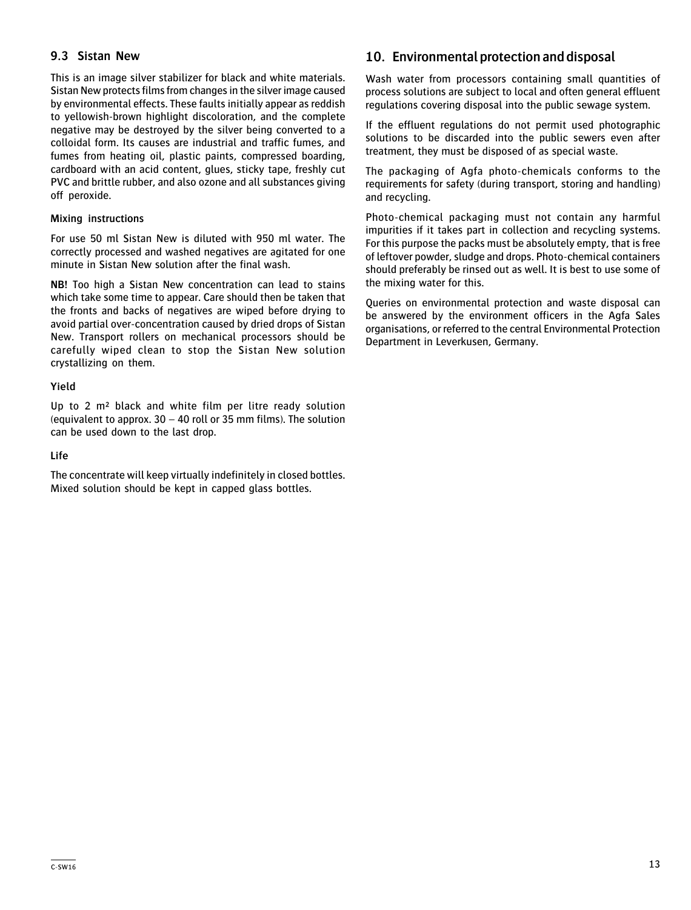## <span id="page-12-0"></span>**9.3 Sistan New**

This is an image silver stabilizer for black and white materials. Sistan New protects films from changes in the silver image caused by environmental effects. These faults initially appear as reddish to yellowish-brown highlight discoloration, and the complete negative may be destroyed by the silver being converted to a colloidal form. Its causes are industrial and traffic fumes, and fumes from heating oil, plastic paints, compressed boarding, cardboard with an acid content, glues, sticky tape, freshly cut PVC and brittle rubber, and also ozone and all substances giving off peroxide.

#### **Mixing instructions**

For use 50 ml Sistan New is diluted with 950 ml water. The correctly processed and washed negatives are agitated for one minute in Sistan New solution after the final wash.

**NB!** Too high a Sistan New concentration can lead to stains which take some time to appear. Care should then be taken that the fronts and backs of negatives are wiped before drying to avoid partial over-concentration caused by dried drops of Sistan New. Transport rollers on mechanical processors should be carefully wiped clean to stop the Sistan New solution crystallizing on them.

#### **Yield**

Up to 2 m² black and white film per litre ready solution (equivalent to approx. 30 – 40 roll or 35 mm films). The solution can be used down to the last drop.

#### **Life**

The concentrate will keep virtually indefinitely in closed bottles. Mixed solution should be kept in capped glass bottles.

# **10. Environmental protection and disposal**

Wash water from processors containing small quantities of process solutions are subject to local and often general effluent regulations covering disposal into the public sewage system.

If the effluent regulations do not permit used photographic solutions to be discarded into the public sewers even after treatment, they must be disposed of as special waste.

The packaging of Agfa photo-chemicals conforms to the requirements for safety (during transport, storing and handling) and recycling.

Photo-chemical packaging must not contain any harmful impurities if it takes part in collection and recycling systems. For this purpose the packs must be absolutely empty, that is free of leftover powder, sludge and drops. Photo-chemical containers should preferably be rinsed out as well. It is best to use some of the mixing water for this.

Queries on environmental protection and waste disposal can be answered by the environment officers in the Agfa Sales organisations, or referred to the central Environmental Protection Department in Leverkusen, Germany.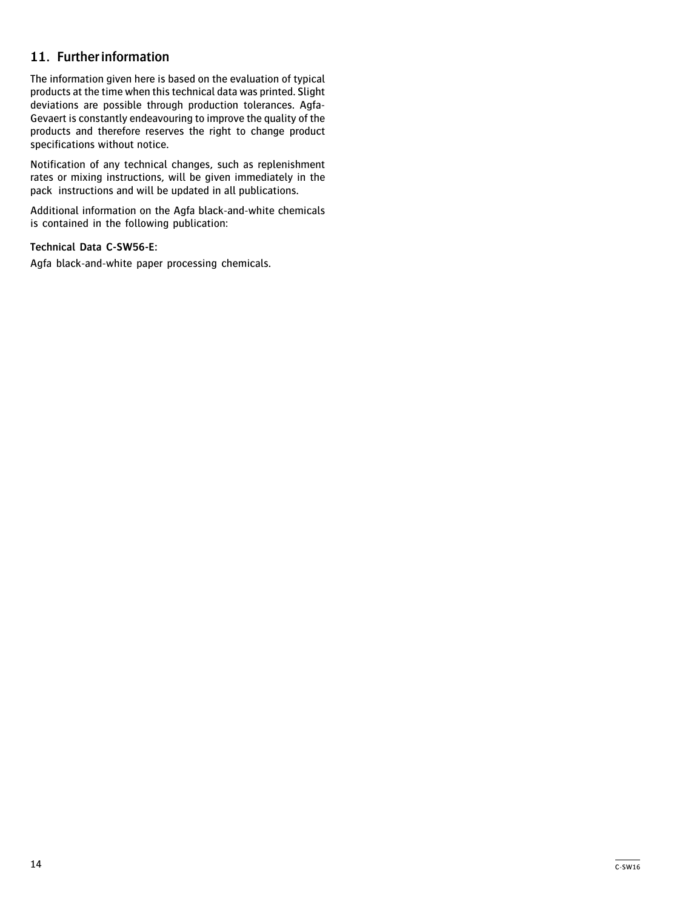# <span id="page-13-0"></span>**11. Further information**

The information given here is based on the evaluation of typical products at the time when this technical data was printed. Slight deviations are possible through production tolerances. Agfa-Gevaert is constantly endeavouring to improve the quality of the products and therefore reserves the right to change product specifications without notice.

Notification of any technical changes, such as replenishment rates or mixing instructions, will be given immediately in the pack instructions and will be updated in all publications.

Additional information on the Agfa black-and-white chemicals is contained in the following publication:

### **Technical Data C-SW56-E:**

Agfa black-and-white paper processing chemicals.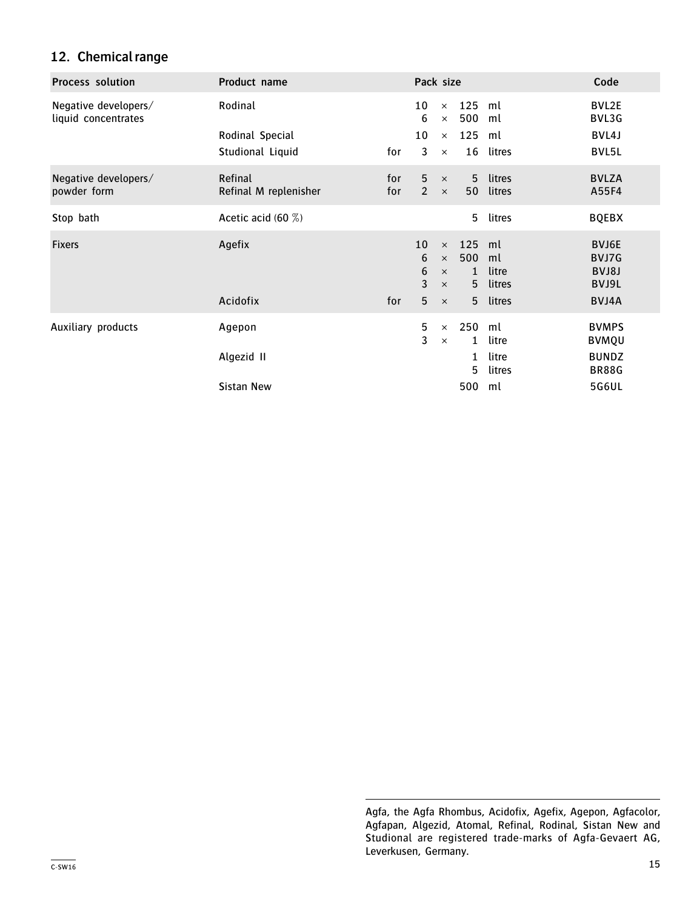# <span id="page-14-0"></span>**12. Chemical range**

| <b>Process solution</b>                     | Product name                     |            | Pack size           |                                              |                                 |                             | Code                             |
|---------------------------------------------|----------------------------------|------------|---------------------|----------------------------------------------|---------------------------------|-----------------------------|----------------------------------|
| Negative developers/<br>liquid concentrates | Rodinal                          |            | 10<br>6             | $\times$<br>$\times$                         | 125<br>500                      | ml<br>ml                    | BVL2E<br>BVL3G                   |
|                                             | Rodinal Special                  |            | 10                  | $\times$                                     | 125                             | ml                          | BVL4J                            |
|                                             | Studional Liquid                 | for        | 3                   | $\times$                                     | 16                              | litres                      | BVL5L                            |
| Negative developers/<br>powder form         | Refinal<br>Refinal M replenisher | for<br>for | 5<br>$\overline{2}$ | $\times$<br>$\times$                         | 5<br>50                         | litres<br>litres            | <b>BVLZA</b><br>A55F4            |
| Stop bath                                   | Acetic acid $(60\%)$             |            |                     |                                              | 5                               | litres                      | BQEBX                            |
| <b>Fixers</b>                               | Agefix                           |            | 10<br>6<br>6<br>3   | $\times$<br>$\times$<br>$\times$<br>$\times$ | 125<br>500<br>$\mathbf{1}$<br>5 | ml<br>ml<br>litre<br>litres | BVJ6E<br>BVJ7G<br>BVJ8J<br>BVJ9L |
|                                             | Acidofix                         | for        | 5                   | $\times$                                     | 5                               | litres                      | BVJ4A                            |
| Auxiliary products                          | Agepon                           |            | 5<br>3              | $\times$<br>$\times$                         | 250<br>1                        | ml<br>litre                 | <b>BVMPS</b><br><b>BVMQU</b>     |
|                                             | Algezid II                       |            |                     |                                              | 1<br>5                          | litre<br>litres             | <b>BUNDZ</b><br><b>BR88G</b>     |
|                                             | <b>Sistan New</b>                |            |                     |                                              | 500                             | ml                          | 5G6UL                            |

Agfa, the Agfa Rhombus, Acidofix, Agefix, Agepon, Agfacolor, Agfapan, Algezid, Atomal, Refinal, Rodinal, Sistan New and Studional are registered trade-marks of Agfa-Gevaert AG, Leverkusen, Germany.